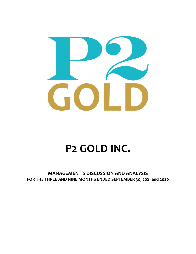

# **P2 GOLD INC.**

**MANAGEMENT'S DISCUSSION AND ANALYSIS FOR THE THREE AND NINE MONTHS ENDED SEPTEMBER 30, 2021 and 2020**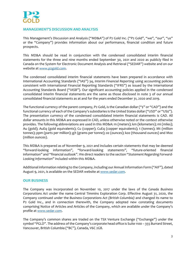

# **MANAGEMENT'S DISCUSSION AND ANALYSIS**

This Management's Discussion and Analysis ("MD&A") of P2 Gold Inc. ("P2 Gold", "we", "our", "us" or the "Company") provides information about our performance, financial condition and future prospects.

This MD&A should be read in conjunction with the condensed consolidated interim financial statements for the three and nine months ended September 30, 2021 and 2020 as publicly filed in Canada on the System for Electronic Document Analysis and Retrieval ("SEDAR") website and on our website at www.p2gold.com.

The condensed consolidated interim financial statements have been prepared in accordance with International Accounting Standards ("IAS") 34, *Interim Financial Reporting* using accounting policies consistent with International Financial Reporting Standards ("IFRS") as issued by the International Accounting Standards Board ("IASB"). Our significant accounting policies applied in the condensed consolidated interim financial statements are the same as those disclosed in note 3 of our annual consolidated financial statements as at and for the years ended December 31, 2020 and 2019.

The functional currency of the parent company, P2 Gold, is the Canadian dollar ("\$" or "CAD") and the functional currency of each of the Company's subsidiaries is the United States dollar ("USD" or "US\$"). The presentation currency of the condensed consolidated interim financial statements is CAD. All dollar amounts in this MD&A are expressed in CAD, unless otherwise noted or the context otherwise provides. The following abbreviations are used in this MD&A: m (meters); km (kilometers); mi (miles); Au (gold); AuEq (gold equivalents); Cu (copper); CuEq (copper equivalents); t (tonnes); Mt (million tonnes); ppm (parts per million); g/t (grams per tonne); oz (ounces); koz (thousand ounces) and Moz (million ounces).

This MD&A is prepared as of November 9, 2021 and includes certain statements that may be deemed "forward‐looking information", "forward‐looking statements", "future‐oriented financial information" and "financial outlook". We direct readers to the section "*Statement Regarding Forward‐ Looking Information*" included within this MD&A.

Additional information relating to the Company, including our Annual Information Form ("AIF"), dated August 9, 2021, is available on the SEDAR website at www.sedar.com.

## **OUR BUSINESS**

The Company was incorporated on November 10, 2017 under the laws of the *Canada Business Corporations Act* under the name Central Timmins Exploration Corp. Effective August 31, 2020, the Company continued under the *Business Corporations Act (British Columbia)* and changed its name to P2 Gold Inc., and in connection therewith, the Company adopted new constating documents comprising Notice of Articles and Articles of the Company, which are available under the Company's profile at www.sedar.com.

The Company's common shares are traded on the TSX Venture Exchange ("Exchange") under the symbol "PGLD". The address ofthe Company's corporate head office is Suite 1100 – 355 Burrard Street, Vancouver, British Columbia ("BC"), Canada, V6C 2G8.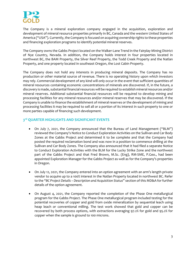

The Company is a mineral exploration company engaged in the acquisition, exploration and development of mineral resource properties primarily in BC, Canada and the western United States of America ("USA"). Currently, the Company is focused on acquiring ownership rights to these properties and financing exploration programs to identify potential mineral reserves.

The Company owns the Gabbs Project located on the Walker‐Lane Trend in the Fairplay Mining District of Nye Country, Nevada. In addition, the Company holds interest in four properties located in northwest BC, the BAM Property, the Silver Reef Property, the Todd Creek Property and the Natlan Property, and one property located in southeast Oregon, the Lost Cabin Property.

The Company does not hold any interests in producing mineral deposits. The Company has no production or other material source of revenue. There is no operating history upon which investors may rely. Commercial development of any kind will only occur in the event that sufficient quantities of mineral resources containing economic concentrations of minerals are discovered. If, in the future, a discovery is made, substantial financial resources will be required to establish mineral resources and/or mineral reserves. Additional substantial financial resources will be required to develop mining and processing facilities for any mineral resources and/or mineral reserves that may be discovered. If the Company is unable to finance the establishment of mineral reserves or the development of mining and processing facilities it may be required to sell all or a portion of its interest in such property to one or more parties capable of financing such development.

# **3rd QUARTER HIGHLIGHTS AND SIGNIFICANT EVENTS**

- On July 7, 2021, the Company announced that the Bureau of Land Management ("BLM") reviewed the Company's Notice to Conduct Exploration Activities on the Sullivan and Car Body Zones at the Gabbs Project and determined it to be complete and that the Company had posted the required reclamation bond and was now in a position to commence drilling at the Sullivan and Car Body Zones. The Company also announced that it had filed a separate Notice to Conduct Exploration Activities with the BLM for the Lucky Strike Zone and the northwest part of the Gabbs Project and that Fred Brown, M.Sc. (Eng), RM‐SME, P.Geo., had been appointed Exploration Manager for the Gabbs Project as well as for the Company's properties in Oregon.
- On July 12, 2021, the Company entered into an option agreement with an arm's length private vendor to acquire up to a 100% interest in the Natlan Property located in northwest BC. Refer to the "*BC Project Details – Description and Acquisition Status*" section of this MD&A for further details of the option agreement.
- On August 4, 2021, the Company reported the completion of the Phase One metallurgical program for the Gabbs Project. The Phase One metallurgical program included testing for the potential recoveries of copper and gold from oxide mineralization by sequential leach using heap leach or conventional milling. The test work showed that gold and copper can be recovered by both process options, with extractions averaging 97.2% for gold and 95.2% for copper when the sample is ground to 100 microns.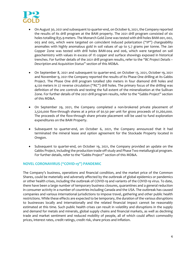

- On August 30, 2021 and subsequent to quarter‐end, on October 6, 2021, the Company reported the results of its drill program at the BAM property. The 2021 drill program consisted of six holes totalling 835.9 meters. The Monarch Gold Zone was tested with drill holes BAM‐001, 002, 003 and 005, which were targeted on coincident induced polarization ("IP") chargeability anomalies with highly anomalous gold in soil values of up to 5.7 grams per tonne. The Jan Copper Zone was tested with drill holes BAM‐004 and 006, which were targeted on soil geochemistry with values in excess of 1% copper and surface showings exposed in historical trenches. For further details of the 2021 drill program results, refer to the "*BC Project Details – Description and Acquisition Status*" section of this MD&A.
- On September 8, 2021 and subsequent to quarter‐end, on October 13, 2021, October 19, 2021 and November 9, 2021 the Company reported the results of its Phase One drilling at its Gabbs Project. The Phase One drill program totalled 580 meters in four diamond drill holes and 4,120 meters in 27 reverse circulation ("RC") drill holes. The primary focus of the drilling was definition of the ore controls and testing the full extent of the mineralization at the Sullivan Zone. For further details of the 2021 drill program results, refer to the "*Gabbs Project*" section of this MD&A.
- On September 29, 2021, the Company completed a non‐brokered private placement of 2,520,000 flow‐through shares at a price of \$0.50 per unit for gross proceeds of \$1,260,000. The proceeds of the flow-through share private placement will be used to fund exploration expenditures on the BAM Property.
- Subsequent to quarter‐end, on October 6, 2021, the Company announced that it had terminated the mineral lease and option agreement for the Stockade Property located in Oregon.
- Subsequent to quarter‐end, on October 19, 2021, the Company provided an update on the Gabbs Project, including the production trade‐off study and Phase Two metallurgical program. For further details, refer to the "*Gabbs Project*" section of this MD&A.

## **NOVEL CORONAVIRUS ("COVID‐19") PANDEMIC**

The Company's business, operations and financial condition, and the market price of the Common Shares, could be materially and adversely affected by the outbreak of global epidemics or pandemics or other health crises, including the outbreak of COVID‐19 and variants of the COVID‐19 virus. To date, there have been a large number of temporary business closures, quarantines and a general reduction in consumer activity in a number of countries including Canada and the USA. The outbreak has caused companies and various international jurisdictions to impose travel, gathering and other public health restrictions. While these effects are expected to be temporary, the duration of the various disruptions to businesses locally and internationally and the related financial impact cannot be reasonably estimated at this time. Such public health crises can result in volatility and disruptions in the supply and demand for metals and minerals, global supply chains and financial markets, as well as declining trade and market sentiment and reduced mobility of people, all of which could affect commodity prices, interest rates, credit ratings, credit risk, share prices and inflation.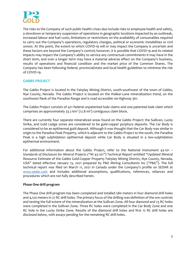

The risks to the Company of such public health crises also include risks to employee health and safety, a slowdown or temporary suspension of operations in geographic locations impacted by an outbreak, increased labour and fuel costs, limitations or restrictions on the availability of consumables required to carry out the Company's operations, regulatory changes, political or economic instabilities or civil unrest. At this point, the extent to which COVID‐19 will or may impact the Company is uncertain and these factors are beyond the Company's control; however, it is possible that COVID‐19 and its related impacts may impact the Company's ability to service any contractual commitments it may have in the short term, and over a longer term may have a material adverse effect on the Company's business, results of operations and financial condition and the market price of the Common Shares. The Company has been following federal, provincial/state and local health guidelines to minimize the risk of COVID‐19.

# **GABBS PROJECT**

The Gabbs Project is located in the Fairplay Mining District, south‐southwest of the town of Gabbs, Nye County, Nevada. The Gabbs Project is located on the Walker‐Lane mineralization trend, on the southwest flank of the Paradise Range and is road accessible via Highway 361.

The Gabbs Project consists of 421 federal unpatented lode claims and one patented lode claim which comprises an approximately 33.2  $km^2$  (12.8 mi<sup>2</sup>) contiguous claim block.

There are currently four separate mineralized areas found on the Gabbs Project: the Sullivan, Lucky Strike, and Gold Ledge zones are considered to be gold‐copper porphyry deposits. The Car Body is considered to be an epithermal gold deposit. Although it was thought that the Car Body was similar in origin to the Paradise Peak Property, which is adjacent to the Gabbs Project to the south, the Paradise Peak is a high sulphidation epithermal deposit while Car Body is situated in a low-sulphidation epithermal environment.

For additional information about the Gabbs Project, refer to the National Instrument 43‐101 – *Standards of Disclosure for Mineral Projects* ("NI 43‐101") Technical Report entitled "Updated Mineral Resource Estimate of the Gabbs Gold‐Copper Property Fairplay Mining District, Nye County, Nevada, USA" dated effective January 13, 2021 prepared by P&E Mining Consultants Inc ("P&E"). The full technical report was filed on March 11, 2021 in Canada under the Company's profile on SEDAR at www.sedar.com and includes additional assumptions, qualifications, references, reliances and procedures which are not fully described herein.

#### **Phase One drill program**

The Phase One drill program has been completed and totalled 580 meters in four diamond drill holes and 4,120 meters in 27 RC drill holes. The primary focus of the drilling was definition of the ore controls and testing the full extent of the mineralization at the Sullivan Zone. All four diamond and 23 RC holes were completed in the Sullivan Zone. Three RC holes were completed in the Car Body Zone and one RC hole in the Lucky Strike Zone. Results of the diamond drill holes and first 12 RC drill holes are disclosed below, with assays pending for the remaining RC drill holes.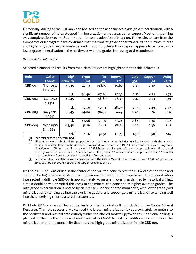

Historically, drilling at the Sullivan Zone focused on the near‐surface oxide gold mineralization, with a significant number of holes stopped in mineralization or not assayed for copper. Most of this drilling was completed between 1980 and 1995 prior to the adoption of NI 43-101. The results to date from the Company's drill program have confirmed that the zone of gold‐copper mineralization is much thicker and higher in grade than previously defined. In addition, the Sullivan deposit appears to be zoned with lower grade mineralization in the northwest with the grades improving to the southeast.

## *Diamond drilling results*

| Hole    | <b>Collar</b><br>Coords | Dip/<br><b>Azimuth</b> | <b>From</b><br>(m) | To<br>(m) | <b>Interval</b><br>(m) | Gold<br>(g/t) | <b>Copper</b><br>$(\%)$ | <b>AuEq</b><br>(g/t) |
|---------|-------------------------|------------------------|--------------------|-----------|------------------------|---------------|-------------------------|----------------------|
| GBD-001 | N4292637<br>E417583     | $-45/45$               | 27.43              | 168.10    | 140.67                 | 0.81          | 0.30                    | 1.15                 |
|         |                         | Incl.                  | 48.46              | 87.78     | 39.32                  | 2.12          | 0.51                    | 2.71                 |
| GBD-002 | N4292924<br>E417321     | $-45/45$               | 12.50              | 58.83     | 46.33                  | 0.12          | 0.23                    | 0.39                 |
|         |                         | Incl.                  | 12.50              | 40.54     | 28.04                  | 0.14          | 0.29                    | 0.47                 |
| GBD-003 | N4292711<br>E417542     | $-50/45$               | 24.08              | 98.57     | 74.49                  | 0.48          | 0.26                    | 0.78                 |
|         |                         | Incl.                  | 42.06              | 57.30     | 15.24                  | 0.86          | 0.36                    | 1.27                 |
| GBD-004 | N4292586<br>E417663     | $-65/45$               | 33.16              | 118.87    | 85.71                  | 1.00          | 0.36                    | 1.41                 |
|         |                         | Incl.                  | 51.76              | 92.51     | 40.75                  | 1.56          | 0.50                    | 2.14                 |

Selected diamond drill results from the Gabbs Project are highlighted in the table below $(1,2,3)$ :

(1) True thickness to be determined.

(2) All samples were submitted for preparation by ALS Global at its facilities in Elko, Nevada, with the analysis completed at ALS Global facilities in Reno, Nevada and North Vancouver, BC. All samples were analyzed using multidigestion with ICP finish and fire assay with AA finish for gold. Samples with over 10 ppm gold were fire assayed with a gravimetric finish. One in 20 samples were blank, one in 20 was a standard sample, and one in 20 samples had a sample cut from assay rejects assayed as a field duplicate.

(3) Gold equivalent calculations were consistent with the Gabbs Mineral Resource which used US\$1,600 per ounce gold, US\$3.00 per pound copper, and copper recoveries of 90%.

Drill hole GBD‐001 was drilled in the center of the Sullivan Zone to test the full width of the zone and confirm the higher‐grade gold‐copper domain encountered by prior operators. The mineralization intersected in drill hole GBD‐001 is approximately 70 meters thicker than defined by historical drilling, almost doubling the historical thickness of the mineralized zone and at higher average grades. The high-grade mineralization is hosted by an intensely sericite altered monzonite, with lower grade gold mineralization extending up into the overlying gabbro, and copper‐gold mineralization extending well into the underlying chlorite altered pyroxenites.

Drill hole GBD‐002 was drilled at the limits of the historical drilling included in the Gabbs Mineral Resource. This hole successfully extended the known mineralization by approximately 50 meters to the northwest and was collared entirely within the altered footwall pyroxenites. Additional drilling is planned further to the north and northwest of GBD‐002 to test for additional extensions of the mineralization and the monzonite that hosts the high‐grade mineralization in hole GBD‐001.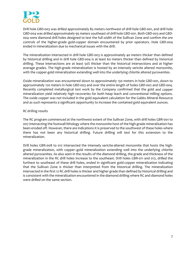

Drill hole GBD‐003 was drilled approximately 85 meters northwest of drill hole GBD‐001, and drill hole GBD‐004 was drilled approximately 95 meters southeast of drill hole GBD‐001. Both GBD‐003 and GBD‐ 004 were diamond drill holes designed to test the full width of the Sullivan Zone and confirm the ore controls of the higher‐grade gold‐copper domain encountered by prior operators. Hole GBD‐004 ended in mineralization due to mechanical issues with the drill.

The mineralization intersected in drill hole GBD‐003 is approximately 40 meters thicker than defined by historical drilling and in drill hole GBD‐004 is at least 60 meters thicker than defined by historical drilling. These intersections are at least 50% thicker than the historical intersections and at higher average grades. The high‐grade mineralization is hosted by an intensely sericite altered monzonite, with the copper-gold mineralization extending well into the underlying chlorite altered pyroxenites.

Oxide mineralization was encountered down to approximately 130 meters in hole GBD‐001, down to approximately 120 meters in hole GBD‐003 and over the entire length of holes GBD‐002 and GBD‐004. Recently completed metallurgical test work by the Company confirmed that the gold and copper mineralization yield relatively high recoveries for both heap leach and conventional milling options. The oxide copper was not included in the gold equivalent calculation for the Gabbs Mineral Resource and as such represents a significant opportunity to increase the contained gold equivalent ounces.

## *RC drilling results*

The RC program commenced at the northwest extent of the Sullivan Zone, with drill holes GBR‐001 to 007 intersecting the footwall lithology where the monzonite host of the high‐grade mineralization has been eroded off. However, there are indications it is preserved to the southwest of these holes where there has not been any historical drilling. Future drilling will test for this extension to the mineralization.

Drill holes GBR-008 to 012 intersected the intensely sericite-altered monzonite that hosts the highgrade mineralization, with copper–gold mineralization extending well into the underlying chlorite altered pyroxenites. As also seen in the results of the diamond drilling, the grade and thickness of the mineralization in the RC drill holes increase to the southeast. Drill holes GBR‐011 and 012, drilled the furthest to southeast of these drill holes, ended in significant gold‐copper mineralization indicating that the Sullivan Zone is thicker than interpreted from the historical drilling. The mineralization intersected in the first 12 RC drill holes is thicker and higher grade than defined by historical drilling and is consistent with the mineralization encountered in the diamond drilling where RC and diamond holes were drilled on the same section.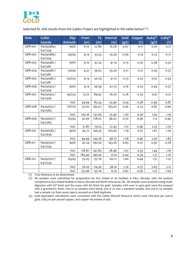

Selected RC drill results from the Gabbs Project are highlighted in the table below $(1,2)$ :

| <b>Hole</b> | <b>Collar</b>        | Dip/           | <b>From</b> | To     | <b>Interval</b> | Gold  | <b>Copper</b> | AuEq $(3)$ | CuEq <sup>(3)</sup> |  |  |
|-------------|----------------------|----------------|-------------|--------|-----------------|-------|---------------|------------|---------------------|--|--|
|             | <b>Coords</b>        | <b>Azimuth</b> | (m)         | (m)    | (m)             | (g/t) | $(\%)$        | (g/t)      | $(\%)$              |  |  |
| GBR-001     | N4292989/            | $-90/0$        | 6.10        | 22.86  | 16.76           | 0.07  | 0.11          | 0.20       | 0.17                |  |  |
|             | E417254              |                |             |        |                 |       |               |            |                     |  |  |
| GBR-002     | N4292989/            | $-45/45$       | 9.14        | 33.53  | 24.39           | 0.09  | 0.14          | 0.25       | 0.21                |  |  |
|             | E417254              |                |             |        |                 |       |               |            |                     |  |  |
| GBR-003     | N4292982/            | $-90/0$        | 6.10        | 47.24  | 41.14           | 0.15  | 0.20          | 0.38       | 0.32                |  |  |
|             | E417381              |                |             |        |                 |       |               |            |                     |  |  |
| GBR-004     | N4292982/<br>E417381 | $-50/40$       | 4.57        | 39.62  | 35.05           | 0.21  | 0.21          | 0.45       | 0.37                |  |  |
| GBR-005     | N4292982/            | $-50/225$      |             | 50.29  |                 |       |               |            |                     |  |  |
|             | E417381              |                | 9.14        |        | 41.15           | 0.23  | 0.25          | 0.52       | 0.43                |  |  |
| GBR-006     | N4292923/            | $-90/0$        | 9.14        | 56.39  | 47.25           | 0.16  | 0.24          | 0.44       | 0.37                |  |  |
|             | E417326              |                |             |        |                 |       |               |            |                     |  |  |
| GBR-007     | N4292923/            | $-45/225$      | 13.72       | 89.92  | 76.20           | 0.28  | 0.29          | 0.61       | 0.51                |  |  |
|             | E417326              |                |             |        |                 |       |               |            |                     |  |  |
|             |                      | Incl.          | 59.44       | 85.34  | 25.90           | 0.54  | 0.38          | 0.99       | 0.81                |  |  |
| GBR-008     | N4292637/            | $-70/225$      | 32.00       | 195.07 | 163.07          | 0.56  | 0.23          | 0.82       | 0.66                |  |  |
|             | E417583              |                |             |        |                 |       |               |            |                     |  |  |
|             |                      | Incl.          | 105.16      | 131.06 | 25.90           | 1.20  | 0.26          | 1.50       | 1.19                |  |  |
| GBR-009     | N4292637/            | $-65/45$       | 32.00       | 128.02 | 96.02           | 0.70  | 0.36          | 1.12       | 0.90                |  |  |
|             | E417583              |                |             |        |                 |       |               |            |                     |  |  |
|             |                      | Incl.          | 51.82       | 79.25  | 27.43           | 1.72  | 0.46          | 2.25       | 1.79                |  |  |
| GBR-010     | N4292585/            | $-90/0$        | 45.72       | 149.35 | 103.63          | 1.19  | 0.37          | 1.62       | 1.29                |  |  |
|             | E417656              |                |             |        |                 |       |               |            |                     |  |  |
|             |                      | Incl.          | 94.49       | 143.26 | 48.77           | 1.76  | 0.46          | 2.30       | 1.83                |  |  |
| GBR-011     | N4292507/            | $-90/0$        | 47.24       | 190.50 | 143.26          | 0.65  | 0.27          | 0.97       | 0.78                |  |  |
|             | E417754              | Incl.          | 118.87      |        |                 |       |               |            |                     |  |  |
|             |                      |                |             | 147.83 | 28.96           | 1.07  | 0.33          | 1.44       | 1.16                |  |  |
|             |                      | Incl.          | 184.40      | 190.50 | 6.10            | 0.40  | 0.79          | 1.31       | 1.10                |  |  |
| GBR-012     | N4292507/<br>E417754 | $-65/45$       | 35.05       | 137.16 | 102.11          | 1.00  | 0.44          | 1.51       | 1.22                |  |  |
|             |                      | Incl.          | 76.20       | 114.30 | 38.10           | 1.74  | 0.77          | 2.63       | 2.12                |  |  |
|             |                      | Incl.          | 131.06      | 137.16 | 6.10            | 0.62  | 0.56          | 1.27       | 1.04                |  |  |

(1) True thickness to be determined.

(2) All samples were submitted for preparation by ALS Global at its facilities in Elko, Nevada, with the analysis completed at ALS Global facilities in Reno, Nevada and North Vancouver, BC. All samples were analyzed using multidigestion with ICP finish and fire assay with AA finish for gold. Samples with over 10 ppm gold were fire assayed with a gravimetric finish. One in 20 samples were blank, one in 20 was a standard sample, and one in 20 samples had a sample cut from assay rejects assayed as a field duplicate.

(3) Gold equivalent calculations were consistent with the Gabbs Mineral Resource which used US\$1,600 per ounce gold, US\$3.00 per pound copper, and copper recoveries of 90%.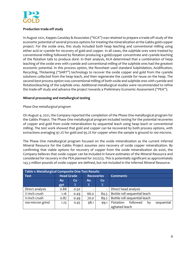

# **Production trade‐off study**

In August 2021, Kappes Cassiday & Associates ("KCA") was retained to prepare a trade‐off study of the economic potential of several process options for treating the mineralization at the Gabbs gold-copper project. For the oxide ores, this study included both heap leaching and conventional milling using either acid or cyanide for recovery of gold and copper. In all cases, the sulphide ores were treated by conventional milling followed by flotation producing a gold/copper concentrate and cyanide leaching of the flotation tails to produce doré. In their analysis, KCA determined that a combination of heap leaching of the oxide ores with cyanide and conventional milling of the sulphide ores had the greatest economic potential. In this process option, the flowsheet used standard Sulphidation, Acidification, Recycling, Thickening ("SART") technology to recover the oxide copper and gold from the cyanide solutions collected from the heap leach, and then regenerate the cyanide for reuse on the heap. The second-best process option was conventional milling of both oxide and sulphide ores with cyanide and flotation/leaching of the sulphide ores. Additional metallurgical studies were recommended to refine the trade-off study and advance the project towards a Preliminary Economic Assessment ("PEA").

## **Mineral processing and metallurgical testing**

## *Phase One metallurgical program*

On August 4, 2021, the Company reported the completion of the Phase One metallurgical program for the Gabbs Project. The Phase One metallurgical program included testing for the potential recoveries of copper and gold from oxide mineralization by sequential leach using heap leach or conventional milling. The test work showed that gold and copper can be recovered by both process options, with extractions averaging 97.2% for gold and 95.2% for copper when the sample is ground to 100 microns.

The Phase One metallurgical program focused on the oxide mineralization as the current Inferred Mineral Resource for the Gabbs Project assumes zero recovery of oxide copper mineralization. By confirming that viable options for recovery of copper from the oxide mineralization do exist, the Company believes that oxide copper can be included in future estimates of the Mineral Resource and considered for recovery in the PEA planned for 2022/23. This is potentially significant as approximately 143.3 million pounds of oxide copper are defined, but not included in the Inferred Mineral Resource.

| Table 1: Metallurgical Composite One Test Results |      |                   |                   |      |                                           |  |  |  |  |  |  |  |
|---------------------------------------------------|------|-------------------|-------------------|------|-------------------------------------------|--|--|--|--|--|--|--|
| <b>Test</b>                                       |      | <b>Head Grade</b> | <b>Recoveries</b> |      | <b>Comments</b>                           |  |  |  |  |  |  |  |
|                                                   | 'Au  | <b>Cu</b>         | Au                | Cu   |                                           |  |  |  |  |  |  |  |
|                                                   | gpt  | $\%$              | %                 | $\%$ |                                           |  |  |  |  |  |  |  |
| Direct analysis                                   | 0.88 | 0.50              |                   |      | Direct head analysis                      |  |  |  |  |  |  |  |
| $\frac{1}{2}$ -inch crush                         | 1.16 | 0.49              | 66.0              | 84.5 | Bottle roll sequential leach              |  |  |  |  |  |  |  |
| 1/ <sub>4</sub> -inch crush                       | 0.87 | 0.49              | 70.0              | 89.2 | Bottle roll sequential leach              |  |  |  |  |  |  |  |
| 100-micron grind                                  | 1.25 | 0.45              | 98.1              | 99.1 | followed<br>Flotation<br>sequential<br>by |  |  |  |  |  |  |  |
|                                                   |      |                   |                   |      | agitated leach                            |  |  |  |  |  |  |  |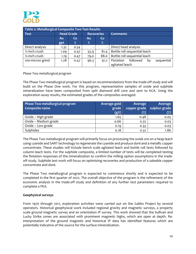

| Table 2: Metallurgical Composite Two Test Results |                   |           |      |                   |                                           |  |  |  |  |  |  |
|---------------------------------------------------|-------------------|-----------|------|-------------------|-------------------------------------------|--|--|--|--|--|--|
| <b>Test</b>                                       | <b>Head Grade</b> |           |      | <b>Recoveries</b> | <b>Comments</b>                           |  |  |  |  |  |  |
|                                                   | <b>Au</b>         | <b>Cu</b> |      | <b>Cu</b>         |                                           |  |  |  |  |  |  |
|                                                   | gpt               | $\%$      | $\%$ | %                 |                                           |  |  |  |  |  |  |
| Direct analysis                                   | 1.32              | 0.54      |      |                   | Direct head analysis                      |  |  |  |  |  |  |
| 1/ <sub>2</sub> -inch crush                       | 1.09              | 0.47      | 55.9 | 81.4              | Bottle roll sequential leach              |  |  |  |  |  |  |
| 1/ <sub>4</sub> -inch crush                       | 1.19              | 0.47      | 79.0 | 88.0              | Bottle roll sequential leach              |  |  |  |  |  |  |
| 100-micron grind                                  | 1.28              | 0.47      | 96.3 | 91.2              | followed<br>sequential<br>Flotation<br>bγ |  |  |  |  |  |  |
|                                                   |                   |           |      |                   | agitated leach                            |  |  |  |  |  |  |

*Phase Two metallurgical program*

The Phase Two metallurgical program is based on recommendations from the trade‐off study and will build on the Phase One work. For this program, representative samples of oxide and sulphide mineralization have been composited from split diamond drill core and sent to KCA. Using the exploration assay results, the estimated grades of the composites averaged:

| Phase Two metallurgical program<br>Composite name | Average gold<br>grade<br>(g/t) | Average<br>copper grade<br>$(\%)$ | Average<br>sulphur grade<br>$(\%)$ |
|---------------------------------------------------|--------------------------------|-----------------------------------|------------------------------------|
| Oxide – High grade                                | 1.65                           | 0.48                              | 0.05                               |
| Oxide - Medium grade                              | 0.66                           | 0.32                              | 0.03                               |
| Oxide - Low grade                                 | 0.19                           | 0.33                              | 0.03                               |
| Sulphides                                         | 0.18                           | 0.32                              | 1.86                               |

The Phase Two metallurgical program will primarily focus on processing the oxide ore on a heap leach using cyanide and SART technology to regenerate the cyanide and produce doré and a metallic copper concentrate. These studies will include bench scale agitated leach and bottle roll tests followed by column leach tests. For the sulphide composite, a limited number of tests will be completed testing the flotation responses of the mineralization to confirm the milling option assumptions in the trade‐ off study. Sulphide test work will focus on optimizing recoveries and production of a saleable copper concentrate and doré.

The Phase Two metallurgical program is expected to commence shortly and is expected to be completed in the first quarter of 2022. The overall objective of the program is the refinement of the economic analysis in the trade‐off study and definition of any further test parameters required to complete a PEA.

## **Geophysical surveys**

From 1970 through 2011, exploration activities were carried out on the Gabbs Project by several operators. Historical geophysical work included regional gravity and magnetic surveys, a property scale ground magnetic survey and an orientation IP survey. This work showed that the Sullivan and Lucky Strike zones are associated with prominent magnetic highs, which are open at depth. Re‐ interpretation of the ground magnetic and historical IP data has identified features which are potentially indicative of the source for the surface mineralization.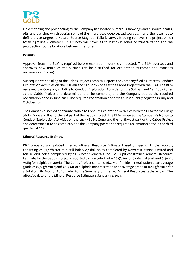

Field mapping and prospecting by the Company has located numerous showings and historical shafts, pits, and trenches which overlay some of the interpreted deep‐seated sources. In a further attempt to define these targets, a Natural Source Magneto Telluric survey is being run over the project which totals 25.7 line kilometers. This survey will cover all four known zones of mineralization and the prospective source locations between the zones.

## **Permits**

Approval from the BLM is required before exploration work is conducted. The BLM oversees and approves how much of the surface can be disturbed for exploration purposes and manages reclamation bonding.

Subsequent to the filing of the Gabbs Project Technical Report, the Company filed a Notice to Conduct Exploration Activities on the Sullivan and Car Body Zones at the Gabbs Project with the BLM. The BLM reviewed the Company's Notice to Conduct Exploration Activities on the Sullivan and Car Body Zones at the Gabbs Project and determined it to be complete, and the Company posted the required reclamation bond in June 2021. The required reclamation bond was subsequently adjusted in July and October 2021.

The Company also filed a separate Notice to Conduct Exploration Activities with the BLM for the Lucky Strike Zone and the northwest part of the Gabbs Project. The BLM reviewed the Company's Notice to Conduct Exploration Activities on the Lucky Strike Zone and the northwest part of the Gabbs Project and determined it to be complete, and the Company posted the required reclamation bond in the third quarter of 2021.

## **Mineral Resource Estimate**

P&E prepared an updated Inferred Mineral Resource Estimate based on 494 drill hole records, consisting of 397 "historical" drill holes, 87 drill holes completed by Newcrest Mining Limited and ten RC drill holes completed by St. Vincent Minerals Inc. P&E's pit‐constrained Mineral Resource Estimate for the Gabbs Project is reported using a cut-off of 0.24 g/t Au for oxide material, and 0.30 g/t AuEq for sulphide material. The Gabbs Project contains 26.2 Mt of oxide mineralization at an average grade of 0.72 g/t AuEq and 46.9 Mt of sulphide mineralization at an average grade of 0.82 g/t AuEq for a total of 1.84 Moz of AuEq (refer to the Summary of Inferred Mineral Resources table below). The effective date of the Mineral Resource Estimate is January 13, 2021.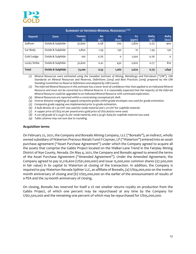

| <b>SUMMARY OF INFERRED MINERAL RESOURCES (1-9)</b> |                  |               |             |             |                    |               |               |  |  |  |  |  |
|----------------------------------------------------|------------------|---------------|-------------|-------------|--------------------|---------------|---------------|--|--|--|--|--|
| <b>Deposit</b>                                     | Zone             | Tonnes<br>(k) | Au<br>(g/t) | Au<br>(koz) | <b>Cu</b><br>(ppm) | AuEq<br>(g/t) | AuEq<br>(koz) |  |  |  |  |  |
| Sullivan                                           | Oxide & Sulphide | 37,600        | 0.58        | 700         | 2,820              | 0.75          | 900           |  |  |  |  |  |
| Car Body                                           | Oxide & Sulphide | 2,800         | 1.39        | 130         | 10                 | 1.39          | 130           |  |  |  |  |  |
| Gold Ledge                                         | Oxide & Sulphide | 100           | 0.76        | $\Omega$    | 1,500              | 0.76          | $\Omega$      |  |  |  |  |  |
| Lucky Strike                                       | Oxide & Sulphide | 32,600        | 0.41        | 430         | 2,620              | 0.77          | 810           |  |  |  |  |  |
| <b>Total</b>                                       | Oxide & Sulphide | 73,100        | 0.53        | 1,260       | 2,620              | 0.79          | 1,840         |  |  |  |  |  |

(1) Mineral Resources were estimated using the Canadian Institute of Mining, Metallurgy and Petroleum ("CIM"), CIM *Standards on Mineral Resources and Reserves, Definitions (2014) and Best Practices (2019) prepared by the CIM Standing Committee on Reserve Definitions and adopted by CIM Council.*

(2) The Inferred Mineral Resource in this estimate has a lower level of confidence that that applied to an Indicated Mineral Resource and must not be converted to a Mineral Reserve. It is reasonably expected that the majority of the Inferred *Mineral Resource could be upgraded to an Indicated Mineral Resource with continued exploration.*

- *(3) Mineral Resources are reported within a constraining conceptual pit shell.*
- *(4) Inverse distance weighting of capped composite grades within grade envelopes was used for grade estimation.*
- *(5) Composite grade capping was implemented prior to grade estimation.*
- *(6) A bulk density of 2.50 t/m3 was used for oxide material and 2.70 t/m3 for sulphide material.*
- *(7) A copper price of US\$3.00 per pound and a gold price of US\$1,600/oz were used.*
- (8) A cut-off grade of 0.24 g/t Au for oxide material, and 0.30 g/t AuEq for sulphide material was used.
- *(9) Table columns may not sum due to rounding.*

#### **Acquisition terms**

On February 22, 2021, the Company and Borealis Mining Company, LLC ("Borealis"), an indirect, wholly owned subsidiary of Waterton Precious Metals Fund II Cayman, LP ("Waterton") entered into an asset purchase agreement ("Asset Purchase Agreement") under which the Company agreed to acquire all the assets that comprise the Gabbs Project located on the Walker-Lane Trend in the Fairplay Mining District of Nye County, Nevada. On May 4, 2021, the Company and Borealis agreed to amend the terms of the Asset Purchase Agreement ("Amended Agreement"). Under the Amended Agreement, the Company agreed to pay \$1,216,600 (US\$1,000,000) and issue 15,000,000 common shares (\$7,500,000 in fair value) in its capital to Waterton at closing of the transaction. In addition, the Company is required to pay Waterton Nevada Splitter LLC, an affiliate of Borealis, (a) US\$4,000,000 on the twelve‐ month anniversary of closing and (b) US\$5,000,000 on the earlier of the announcement of results of a PEA and the 24‐month anniversary of closing.

On closing, Borealis has reserved for itself a 2% net smelter returns royalty on production from the Gabbs Project, of which one percent may be repurchased at any time by the Company for US\$1,500,000 and the remaining one percent of which may be repurchased for US\$5,000,000.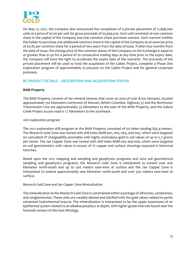

On May 17, 2021, the Company also announced the completion of a private placement of 11,898,060 units at a price of \$0.50 per unit for gross proceeds of \$5,949,030. Each unit consisted of one common share in the capital of the Company and one common share purchase warrant. Each warrant entitles the holder to purchase one additional common share in the capital of the Company at an exercise price of \$0.85 per common share for a period of two years from the date of issue. If after four months from the date of issue, the closing price of the common shares of the Company on the Exchange is equal to or greater than \$1.50 for a period of 10 consecutive trading days at any time prior to the expiry date, the Company will have the right to accelerate the expiry date of the warrants. The proceeds of the private placement will be used to fund the acquisition of the Gabbs Project, complete a Phase One exploration program of approximately \$2,500,000 on the Gabbs Project and for general corporate purposes.

# **BC PROJECT DETAILS – DESCRIPTION AND ACQUISITION STATUS**

## **BAM Property**

The BAM Property consists of ten mineral tenures that cover an area of over 8,100 hectares, located approximately 150 kilometers northwest of Stewart, British Columbia. Highway 37 and the Northwest Transmission Line are approximately 35 kilometers to the east of the BAM Property, and the Galore Creek Project access road is 1.7 kilometers to the southeast.

## *2021 exploration program*

The 2021 exploration drill program at the BAM Property consisted of six holes totaling 835.9 meters. The Monarch Gold Zone was tested with drill holes BAM‐001, 002, 003, and 005, which were targeted on coincident IP chargeability anomalies with highly anomalous gold in soil values of up to 5.7 grams per tonne. The Jan Copper Zone was tested with drill holes BAM‐004 and 006, which were targeted on soil geochemistry with values in excess of 1% copper and surface showings exposed in historical trenches.

Based upon the 2021 mapping and sampling and geophysics programs and 2020 soil geochemical sampling and geophysics programs, the Monarch Gold Zone is interpreted to extend over one kilometer north-south and up to 500 meters east-west at surface and the Jan Copper Zone is interpreted to extend approximately one kilometer north-south and over 500 meters east-west at surface.

#### *Monarch Gold Zone and Jan Copper Zone Mineralization*

The mineralization at the Monarch Gold Zone is constrained within a package of siltstones, sandstones, and conglomerates. These units are variably altered and silicified with the gold values related to pyrite cemented hydrothermal breccia. The mineralization is interpreted to be the upper extensions of an epithermal system related to an alkaline porphyry at depth, with higher-grade intervals found near the footwall contact of the host lithology.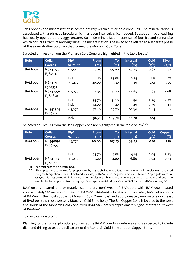

Jan Copper Zone mineralization is hosted entirely within a thick dolostone unit. The mineralization is associated with a phreatic breccia which has been intensely silica flooded. Subsequent acid leaching has locally opened up a vuggy texture. Sulphide mineralization consists of bornite and tennantite which occurs as fracture and vug filling. The mineralization is believed to be related to a separate phase of the same alkaline porphyry that formed the Monarch Gold Zone.

| Hole           | <b>Collar</b><br>Coords | Dip/<br><b>Azimuth</b> | From<br>(m) | To<br>(m) | <b>Interval</b><br>(m) | Gold<br>(g/t) | <b>Silver</b><br>(g/t) |
|----------------|-------------------------|------------------------|-------------|-----------|------------------------|---------------|------------------------|
| <b>BAM-001</b> | N6341778<br>E387114     | $-45/90$               | 18.25       | 69.00     | 50.75                  | 0.62          | 4.87                   |
|                |                         | Incl.                  | 46.10       | 55.85     | 9.75                   | 1.11          | 4.07                   |
| <b>BAM-002</b> | N6341711<br>E387332     | $-45/270$              | 20.00       | 35.30     | 15.30                  | 0.51          | 3.25                   |
| BAM-003        | N6341996<br>E386870     | $-45/270$              | 5.35        | 51.20     | 45.85                  | 2.63          | 3.08                   |
|                |                         | Incl.                  | 34.70       | 51.20     | 16.50                  | 5.29          | 4.27                   |
|                |                         | Incl.                  | 42.00       | 51.20     | 9.20                   | 7.30          | 4.44                   |
| <b>BAM-005</b> | N6342305<br>E386513     | $-45/270$              | 47.40       | 109.70    | 62.30                  | 0.65          |                        |
|                |                         | Incl.                  | 91.50       | 109.70    | 18.20                  | 1.14          |                        |

Selected drill results from the Monarch Gold Zone are highlighted in the table below<sup> $(1,2)$ </sup>:

Selected drill results from the Jan Copper Zone are highlighted in the table below $(1,2)$ :

| Hole           | <b>Collar</b>       | Dip/           | <b>From</b> | To     | <b>Interval</b> | Gold  | <b>Copper</b> |
|----------------|---------------------|----------------|-------------|--------|-----------------|-------|---------------|
|                | Coords              | <b>Azimuth</b> | (m)         | (m)    | (m)             | (g/t) | $(\%)$        |
| <b>BAM-004</b> | N6340892<br>E386295 | $-45/270$      | 68.00       | 107.25 | 39.25           | 0.01  | 1.10          |
|                |                     | Incl.          | 75.70       | 84.85  | 9.15            | 0.04  | 3.23          |
| BAM-006        | N6341173<br>E386513 | $-45/270$      | 7.20        | 14.00  | 6.80            | 0.04  | 0.33          |

(1) True thickness to be determined.

(2) All samples were submitted for preparation by ALS Global at its facilities in Terrace, BC. All samples were analyzed using multi-digestion with ICP finish and fire assay with AA finish for gold. Samples with over 10 ppm gold were fire assayed with a gravimetric finish. One in 20 samples were blank, one in 20 was a standard sample, and one in 20 samples had a sample cut from assay rejects assayed as a field duplicate at ALS Global in North Vancouver, BC.

BAM‐003 is located approximately 320 meters northwest of BAM‐001, with BAM‐002 located approximately 220 meters southeast of BAM‐001. BAM‐005 is located approximately 600 meters north of BAM‐002 (the most southerly Monarch Gold Zone hole) and approximately 600 meters northeast of BAM‐003 (the most westerly Monarch Gold Zone hole). The Jan Copper Zone is located to the west and south of the Monarch Gold Zone, with BAM‐004 located approximately 1,300 meters southwest of BAM‐002.

#### *2022 exploration program*

Planning for the 2022 exploration program at the BAM Property is underway and is expected to include diamond drilling to test the full extent of the Monarch Gold Zone and Jan Copper Zone.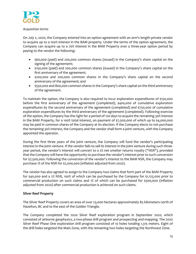

#### *Acquisition terms*

On July 2, 2020, the Company entered into an option agreement with an arm's length private vendor to acquire up to a 100% interest in the BAM property. Under the terms of the option agreement, the Company can acquire up to a 70% interest in the BAM Property over a three‐year option period by paying to the vendor the following:

- \$60,000 (paid) and 200,000 common shares (issued) in the Company's share capital on the signing of the agreement;
- \$150,000 (paid) and 200,000 common shares (issued) in the Company's share capital on the first anniversary of the agreement;
- \$200,000 and 200,000 common shares in the Company's share capital on the second anniversary of the agreement; and
- \$550,000 and 800,000 common shares in the Company's share capital on the third anniversary of the agreement.

To maintain the option, the Company is also required to incur exploration expenditures of \$150,000 before the first anniversary of the agreement (completed), \$400,000 of cumulative exploration expenditures by the second anniversary of the agreement (completed) and \$750,000 of cumulative exploration expenditures by the third anniversary of the agreement (completed). Following exercise of the option, the Company has the right for a period of 120 days to acquire the remaining 30% interest in the BAM Property, for a 100% total interest, on payment of \$7,500,000 of which up to \$4,000,000 may be paid in common shares of the Company at its election. If the Company elects to not purchase the remaining 30% interest, the Company and the vendor shall form a joint venture, with the Company appointed the operator.

During the first three years of the joint venture, the Company will fund the vendor's participating interest in the joint venture. If the vendor fails to sell its interest in the joint venture during such three‐ year period, the vendor's interest will convert to a 2% net smelter returns royalty ("NSR"), provided that the Company will have the opportunity to purchase the vendor's interest prior to such conversion for \$7,500,000. Following the conversion of the vendor's interest to the BAM NSR, the Company may purchase 1% of the NSR for \$2,000,000 (inflation adjusted from 2020).

The vendor has also agreed to assign to the Company two claims that form part of the BAM Property for \$40,000 and a 2% NSR, 100% of which can be purchased by the Company for \$1,125,000 prior to commercial production on such claims and 1% of which can be purchased for \$300,000 (inflation adjusted from 2020) after commercial production is achieved on such claims.

## **Silver Reef Property**

The Silver Reef Property covers an area of over 23,000 hectares approximately 85 kilometers north of Hazelton, BC and to the east of the Golden Triangle.

The Company completed the 2020 Silver Reef exploration program in September 2020, which consisted of airborne geophysics, a two‐phase drill program and prospecting and mapping. The 2020 Silver Reef Phase One exploration drill program consisted of 10 holes totaling 1,315 meters. Eight of the drill holes targeted the Main Zone, with the remaining two holes targeting the Northwest Zone.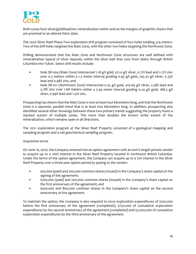

Both zones host silver/gold/lead/zinc mineralization within and on the margins of graphitic shears that are proximal to an altered felsic dyke.

The 2020 Silver Reef Phase Two exploration drill program consisted of four holes totaling 374 meters. Two of the drill holes targeted the Main Zone, with the other two holes targeting the Northwest Zone.

Drilling demonstrated that the Main Zone and Northwest Zone structures are well defined with mineralization typical of silver deposits within the silver belt that runs from Idaho through British Columbia into Yukon. Select drill results include:

- Hole SR-004 (Main Zone) intersected 1.18 g/t gold, 521.0 g/t silver, 0.71% lead and 2.17% zinc over 0.5 meters within a 1.3 meter interval grading 0.93 g/t gold, 245.25 g/t silver, 0.33% lead and 0.98% zinc; and
- Hole SR-011 (Northwest Zone) intersected 0.55 g/t gold, 410.69 g/t silver, 2.38% lead and 3.18% zinc over 1.68 meters within a 7.49 meter interval grading 0.24 g/t gold, 188.5 g/t silver, 0.99% lead and 1.51% zinc.

Prospecting has shown that the Main Zone is now at least four kilometers long, and that the Northwest Zone is a separate, parallel trend that is at least two kilometers long. In addition, prospecting also identified several other showings between these two primary trends suggesting the property hosts a stacked system of multiple zones. This more than doubles the known strike extent of the mineralization, which remains open in all directions.

The 2021 exploration program at the Silver Reef Property consisted of a geological mapping and sampling program and a soil geochemical sampling program.

## *Acquisition terms*

On June 10, 2020, the Company entered into an option agreement with an arm's length private vendor to acquire up to a 100% interest in the Silver Reef Property located in northwest British Columbia. Under the terms of the option agreement, the Company can acquire up to a 70% interest in the Silver Reef Property over a three-year option period by paying to the vendor:

- \$50,000 (paid) and 200,000 common shares (issued) in the Company's share capital on the signing of the agreement;
- \$200,000 (paid) and 200,000 common shares (issued) in the Company's share capital on the first anniversary of the agreement; and
- \$500,000 and 800,000 common shares in the Company's share capital on the second anniversary of the agreement.

To maintain the option, the Company is also required to incur exploration expenditures of \$250,000 before the first anniversary of the agreement (completed), \$750,000 of cumulative exploration expenditures by the second anniversary of the agreement (completed) and \$2,000,000 of cumulative exploration expenditures by the third anniversary of the agreement.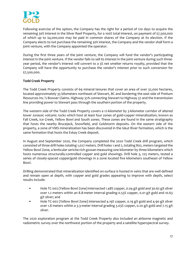

Following exercise of the option, the Company has the right for a period of 120 days to acquire the remaining 30% interest in the Silver Reef Property, for a 100% total interest, on payment of \$7,500,000 of which up to \$4,000,000 may be paid in common shares of the Company at its election. If the Company elects to not purchase the remaining 30% interest, the Company and the vendor shall form a joint venture, with the Company appointed the operator.

During the first three years of the joint venture, the Company will fund the vendor's participating interest in the joint venture. If the vendor fails to sell its interest in the joint venture during such three‐ year period, the vendor's interest will convert to a 3% net smelter returns royalty, provided that the Company will have the opportunity to purchase the vendor's interest prior to such conversion for \$7,500,000.

## **Todd Creek Property**

The Todd Creek Property consists of 69 mineral tenures that cover an area of over 32,000 hectares, located approximately 35 kilometers northeast of Stewart, BC and bordering the east side of Pretium Resources Inc.'s Bowser Claims. Highway 37A connecting Stewart to Highway 37 and the transmission line providing power to Stewart pass through the southern portion of the property.

The western side of the Todd Creek Property covers a 12-kilometer by 3-kilometer corridor of altered lower Jurassic volcanic rocks which host at least four zones of gold‐copper mineralization, known as Fall Creek, Ice Creek, Yellow Bowl and South zones. These zones are found in the same stratigraphy that hosts the nearby Brucejack, Snowfield, and Goldstorm deposits. On the eastern side of the property, a zone of VMS mineralization has been discovered in the Iskut River formation, which is the same formation that hosts the Eskay Creek deposit.

In August and September 2020, the Company completed the 2020 Todd Creek drill program, which consisted of three drill holes totaling 1,027 meters. Drill holes 1 and 2, totaling 802, meters targeted the Yellow Bowl Zone, a lenticular sericite‐rich gossan measuring one kilometer by three kilometers which hosts numerous structurally‐controlled copper and gold showings. Drill hole 3, 225 meters, tested a series of closely-spaced copper/gold showings in a zone located five kilometers southeast of Yellow Bowl.

Drilling demonstrated that mineralization identified on surface is hosted in veins that are well defined and remain open at depth, with copper and gold grades appearing to improve with depth, select results include:

- Hole TC-002 (Yellow Bowl Zone) intersected 1.48% copper, 0.04 g/t gold and 30.62 g/t silver over 1.2 meters within an 8.8‐meter interval grading 0.53% copper, 0.01 g/t gold and 10.63 g/t silver; and
- Hole TC-002 (Yellow Bowl Zone) intersected 4.19% copper, 0.19 g/t gold and 4.90 g/t silver over 1.8 meters within a 3.3‐meter interval grading 3.03% copper, 0.20 g/t gold and 7.15 g/t silver.

The 2020 exploration program at the Todd Creek Property also included an airborne magnetic and radiometric survey over the northwest portion of the property and a satellite hyperspectral survey.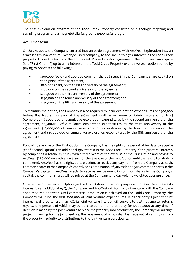

The 2021 exploration program at the Todd Creek Property consisted of a geologic mapping and sampling program and a magnetotellurics ground geophysics program.

#### *Acquisition terms*

On July 9, 2020, the Company entered into an option agreement with ArcWest Exploration Inc., an arm's length TSX Venture Exchange listed company, to acquire up to a 70% interest in the Todd Creek property. Under the terms of the Todd Creek Property option agreement, the Company can acquire (the "First Option") up to a 51% interest in the Todd Creek Property over a five‐year option period by paying to ArcWest the following:

- \$100,000 (paid) and 200,000 common shares (issued) in the Company's share capital on the signing of the agreement;
- $\frac{1}{5150,000}$  (paid) on the first anniversary of the agreement;
- $\bullet$  \$200,000 on the second anniversary of the agreement;
- \$200,000 on the third anniversary of the agreement;
- $\frac{1}{250,000}$  on the fourth anniversary of the agreement; and
- \$250,000 on the fifth anniversary of the agreement.

To maintain the option, the Company is also required to incur exploration expenditures of \$500,000 before the first anniversary of the agreement (with a minimum of 1,000 meters of drilling) (completed), \$3,000,000 of cumulative exploration expenditures by the second anniversary of the agreement, \$6,500,000 of cumulative exploration expenditures by the third anniversary of the agreement, \$10,000,000 of cumulative exploration expenditures by the fourth anniversary of the agreement and \$15,000,000 of cumulative exploration expenditures by the fifth anniversary of the agreement.

Following exercise of the First Option, the Company has the right for a period of 60 days to acquire (the "Second Option") an additional 19% interest in the Todd Creek Property, for a 70% total interest, by completing a feasibility study within three years of the exercise of the First Option and paying to ArcWest \$250,000 on each anniversary of the exercise of the First Option until the feasibility study is completed. ArcWest has the right, at its election, to receive any payment from the Company as cash, common shares in the Company's capital, or a combination of 50% cash and 50% common shares in the Company's capital. If ArcWest elects to receive any payment in common shares in the Company's capital, the common shares will be priced at the Company's 30‐day volume weighted average price.

On exercise of the Second Option (or the First Option, if the Company does not elect to increase its interest by an additional 19%), the Company and ArcWest will form a joint venture, with the Company appointed the operator. Until commercial production is achieved on the Todd Creek Property, the Company will fund the first \$100,000 of joint venture expenditures. If either party's joint venture interest is diluted to less than 10%, its joint venture interest will convert to a 2% net smelter returns royalty, one percent of which may be purchased by the other party for \$5,000,000 at any time. If decision is made by the joint venture to place the property into production, the Company will arrange project financing for the joint venture, the repayment of which shall be made out of cash flows from the property in priority to distributions to the joint venture participants.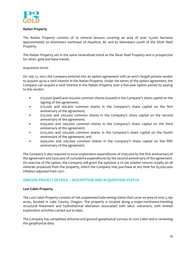

## **Natlan Property**

The Natlan Property consists of 10 mineral tenures covering an area of over 15,000 hectares approximately 30 kilometers northeast of Hazelton, BC and 65 kilometers south of the Silver Reef Property.

The Natlan Property sits in the same mineralized trend as the Silver Reef Property and is prospective for silver, gold and base metals.

## *Acquisition terms*

On July 12, 2021, the Company entered into an option agreement with an arm's length private vendor to acquire up to a 100% interest in the Natlan Property. Under the terms of the option agreement, the Company can acquire a 100% interest in the Natlan Property over a five‐year option period by paying to the vendor:

- \$25,000 (paid) and 100,000 common shares (issued) in the Company's share capital on the signing of the agreement;
- \$75,000 and 100,000 common shares in the Company's share capital on the first anniversary of the agreement;
- \$75,000 and 200,000 common shares in the Company's share capital on the second anniversary of the agreement;
- \$150,000 and 200,000 common shares in the Company's share capital on the third anniversary of the agreement;
- \$225,000 and 200,000 common shares in the Company's share capital on the fourth anniversary of the agreement; and
- \$450,000 and 200,000 common shares in the Company's share capital on the fifth anniversary of the agreement.

The Company is also required to incur exploration expenditures of \$150,000 by the first anniversary of the agreement and \$300,000 of cumulative expenditures by the second anniversary of the agreement. On exercise of the option, the Company will grant the optionor a 2% net smelter returns royalty on all minerals produced from the property, which the Company may purchase at any time for \$5,000,000 inflation adjusted from 2021.

## **OREGON PROJECT DETAILS – DESCRIPTION AND ACQUISITION STATUS**

#### **Lost Cabin Property**

The Lost Cabin Property consists of 106 unpatented lode mining claims that cover an area of over 2,190 acres, located in Lake County, Oregon. The property is located along a major-northwest-trending structural lineament and hydrothermal alteration associated with silicic volcanism, with limited exploration activities carried out to date.

The Company has completed airborne and ground geophysical surveys at Lost Cabin and is reviewing the geophysical data.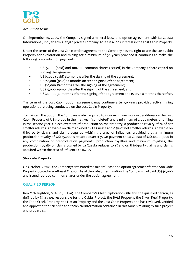

#### *Acquisition terms*

On September 10, 2020, the Company signed a mineral lease and option agreement with La Cuesta International, Inc., an arm's length private company, to lease a 100% interest in the Lost Cabin Property.

Under the terms of the Lost Cabin option agreement, the Company has the right to use the Lost Cabin Property for exploration and mining for a minimum of 50 years provided it continues to make the following preproduction payments:

- US\$5,000 (paid) and 100,000 common shares (issued) in the Company's share capital on signing the agreement;
- US\$5,000 (paid) six-months after the signing of the agreement;
- US\$10,000 (paid) 12-months after the signing of the agreement;
- US\$10,000 18-months after the signing of the agreement;
- US\$15,000 24-months after the signing of the agreement; and
- US\$20,000 30-months after the signing of the agreement and every six months thereafter.

The term of the Lost Cabin option agreement may continue after 50 years provided active mining operations are being conducted on the Lost Cabin Property.

To maintain the option, the Company is also required to incur minimum work expenditures on the Lost Cabin Property of US\$30,000 in the first year (completed) and a minimum of 2,000 meters of drilling in the second year. On achievement of production on the property, a production royalty of 2% of net smelter returns is payable on claims owned by La Cuesta and 0.5% of net smelter returns is payable on third party claims and claims acquired within the area of influence, provided that a minimum production royalty of US\$25,000 is payable quarterly. On payment to La Cuesta of US\$10,000,000 in any combination of preproduction payments, production royalties and minimum royalties, the production royalty on claims owned by La Cuesta reduces to 1% and on third-party claims and claims acquired within the area of influence to 0.25%.

## **Stockade Property**

On October 6, 2021, the Company terminated the mineral lease and option agreement for the Stockade Property located in southeast Oregon. As of the date of termination, the Company had paid US\$40,000 and issued 100,000 common shares under the option agreement.

## **QUALIFIED PERSON**

Ken McNaughton, M.A.Sc., P. Eng., the Company's Chief Exploration Officer is the qualified person, as defined by NI 43‐101, responsible for the Gabbs Project, the BAM Property, the Silver Reef Property, the Todd Creek Property, the Natlan Property and the Lost Cabin Property and has reviewed, verified and approved the scientific and technical information contained in this MD&A relating to such project and properties.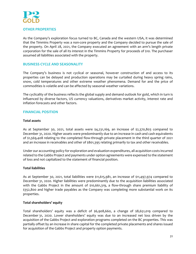

## **OTHER PROPERTIES**

As the Company's exploration focus turned to BC, Canada and the western USA, it was determined that the Timmins Property was a non‐core property and the Company decided to pursue the sale of the property. On April 28, 2021, the Company executed an agreement with an arm's length private corporation for the sale of all its interest in the Timmins Property for proceeds of \$10. The purchaser assumed all liabilities associated with the property.

## **BUSINESS CYCLE AND SEASONALITY**

The Company's business is not cyclical or seasonal, however construction of and access to its properties can be delayed and production operations may be curtailed during heavy spring rains, snow, cold temperatures and other extreme weather phenomena. Demand for and the price of commodities is volatile and can be affected by seasonal weather variations.

The cyclicality of the business reflects the global supply and demand outlook for gold, which in turn is influenced by diverse factors, US currency valuations, derivatives market activity, interest rate and inflation forecasts and other factors.

## **FINANCIAL POSITION**

#### **Total assets**

As at September 30, 2021, total assets were \$4,231,169, an increase of \$2,370,803 compared to December 31, 2020. Higher assets were predominantly due to an increase in cash and cash equivalents of \$1,569,408 relating to the completed flow‐through private placement in the third quarter of 2021 and an increase in receivables and other of \$801,395 relating primarily to tax and other receivables.

Under our accounting policy for exploration and evaluation expenditures, all acquisition costs incurred related to the Gabbs Project and payments under option agreements were expensed to the statement of loss and not capitalized to the statement of financial position.

#### **Total liabilities**

As at September 30, 2021, total liabilities were \$11,615,981, an increase of \$11,497,974 compared to December 31, 2020. Higher liabilities were predominantly due to the acquisition liabilities associated with the Gabbs Project in the amount of \$10,661,319, a flow-through share premium liability of \$352,800 and higher trade payables as the Company was completing more substantial work on its properties.

#### **Total shareholders' equity**

Total shareholders' equity was a deficit of \$6,908,660, a change of \$8,651,019 compared to December 31, 2020. Lower shareholders' equity was due to an increased net loss driven by the acquisition of the Gabbs Project and exploration programs completed on the BC properties. This was partially offset by an increase in share capital for the completed private placements and shares issued for acquisition of the Gabbs Project and property option payments.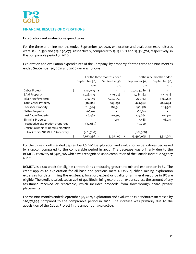

# **FINANCIAL RESULTS OF OPERATIONS**

## **Exploration and evaluation expenditures**

For the three and nine months ended September 30, 2021, exploration and evaluation expenditures were \$2,610,338 and \$23,490,075, respectively, compared to \$3,131,867 and \$3,318,701, respectively, in the comparable period of 2020.

Exploration and evaluation expenditures of the Company, by property, for the three and nine months ended September 30, 2021 and 2020 were as follows:

|                                      |                         | For the three months ended | For the nine months ended |               |      |               |
|--------------------------------------|-------------------------|----------------------------|---------------------------|---------------|------|---------------|
|                                      | September 30,           | September 30,              |                           | September 30, |      | September 30, |
|                                      | 2021                    | 2020                       |                           | 2021          |      | 2020          |
| Gabbs Project                        | \$<br>- \$<br>1,121,949 |                            | \$                        | 20,403,086    | - \$ |               |
| <b>BAM Property</b>                  | 1,028,439               | 479,036                    |                           | 1,784,182     |      | 479,036       |
| <b>Silver Reef Property</b>          | 238,916                 | 1,274,050                  |                           | 763,742       |      | 1,367,812     |
| <b>Todd Creek Property</b>           | 312,085                 | 889,894                    |                           | 424,992       |      | 889,894       |
| Stockade Property                    | 128,344                 | 284,381                    |                           | 190,918       |      | 284,381       |
| Natlan Property                      | 166,611                 |                            |                           | 166,611       |      |               |
| Lost Cabin Property                  | 48,467                  | 201,307                    |                           | 105,864       |      | 201,307       |
| <b>Timmins Property</b>              |                         | 3,199                      |                           | 37,468        |      | 96,271        |
| Prospective exploration properties   | (32, 685)               |                            |                           | 15,000        |      |               |
| British Columbia Mineral Exploration |                         |                            |                           |               |      |               |
| Tax Credit ("BCMETC") recovery       | (401,788)               |                            |                           | (401,788)     |      |               |
|                                      | 2,610,338<br>-\$        | 3,131,867                  | \$                        | 23,490,075    |      | 3,318,701     |

For the three months ended September 30, 2021, exploration and evaluation expenditures decreased by \$521,529 compared to the comparable period in 2020. The decrease was primarily due to the BCMETC recovery of \$401,788 which was recognized upon completion of the Canada Revenue Agency audit.

BCMETC is a tax credit for eligible corporations conducting grassroots mineral exploration in BC. The credit applies to exploration for all base and precious metals. Only qualified mining exploration expenses for determining the existence, location, extent or quality of a mineral resource in BC are eligible. The credit is calculated as 20% of qualified mining exploration expenses less the amount of any assistance received or receivable, which includes proceeds from flow‐through share private placements.

For the nine months ended September 30, 2021, exploration and evaluation expenditures increased by \$20,171,374 compared to the comparable period in 2020. The increase was primarily due to the acquisition of the Gabbs Project in the amount of \$19,150,601.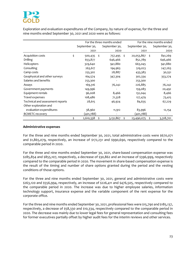

Exploration and evaluation expenditures of the Company, by nature of expense, for the three and nine months ended September 30, 2021 and 2020 were as follows:

|                                  |                 | For the three months ended | For the nine months ended |               |      |               |
|----------------------------------|-----------------|----------------------------|---------------------------|---------------|------|---------------|
|                                  | September 30,   | September 30,              |                           | September 30, |      | September 30, |
|                                  | 2021            | 2020                       |                           | 2021          |      | 2020          |
| Acquisition costs                | \$<br>500,435   | \$<br>757,495              | \$                        | 20,053,867    | - \$ | 841,269       |
| Drilling                         | 653,877         | 646,466                    |                           | 852,789       |      | 646,466       |
| Helicopters                      | 329,640         | 941,880                    |                           | 663,045       |      | 941,880       |
| Consulting                       | 263,617         | 194,963                    |                           | 519,023       |      | 247,263       |
| Camp costs                       | 255,302         | 28,887                     |                           | 433,383       |      | 30,551        |
| Geophysical and other surveys    | 164,574         | 347,304                    |                           | 302,334       |      | 353,274       |
| Salaries and benefits            | 253,300         |                            |                           | 253,300       |      |               |
| Assays                           | 169,316         | 76,242                     |                           | 226,885       |      | 76,242        |
| Government payments              | 149,996         |                            |                           | 159,083       |      | 20,492        |
| Equipment rentals                | 96,008          | 8,466                      |                           | 132,044       |      | 8,466         |
| Travel expenses                  | 108,486         | 71,328                     |                           | 127,479       |      | 73,415        |
| Technical and assessment reports | 28,615          | 46,924                     |                           | 84,635        |      | 67,229        |
| Other exploration and            |                 |                            |                           |               |      |               |
| evaluation expenditures          | 38,960          | 11,912                     |                           | 83,996        |      | 12,154        |
| <b>BCMETC recovery</b>           | (401,788)       |                            |                           | (401,788)     |      |               |
|                                  | \$<br>2,610,338 | \$<br>3,131,867            | \$                        | 23,490,075    | \$   | 3,318,701     |

#### **Administrative expenses**

For the three and nine months ended September 30, 2021, total administrative costs were \$670,071 and \$1,865,079, respectively, an increase of \$172,231 and \$990,690, respectively compared to the comparable period in 2020.

For the three and nine months ended September 30, 2021, share-based compensation expense was \$285,854 and \$855,107, respectively, a decrease of \$30,862 and an increase of \$396,999, respectively compared to the comparable period in 2020. The movement in share-based compensation expense is the result of the timing and number of share options granted during the period and the vesting conditions of those options.

For the three and nine months ended September 30, 2021, general and administrative costs were \$263,120 and \$556,994, respectively, an increase of \$226,411 and \$476,505, respectively compared to the comparable period in 2020. The increase was due to higher employee salaries, information technology support, insurance expense and the variable component of the rent expense for the corporate office.

Forthe three and nine months ended September 30, 2021, professional fees were \$15,790 and \$185,137, respectively, a decrease of \$58,330 and \$10,334, respectively compared to the comparable period in 2020. The decrease was mainly due to lower legal fees for general representation and consulting fees for former executives partially offset by higher audit fees for the interim reviews and other services.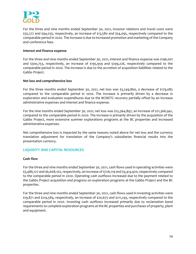

For the three and nine months ended September 30, 2021, investor relations and travel costs were \$35,277 and \$94,035, respectively, an increase of \$13,580 and \$54,095, respectively compared to the comparable period in 2020. The increase is due to increased promotion and marketing of the Company and conference fees.

#### **Interest and finance expense**

For the three and nine months ended September 30, 2021, interest and finance expense was \$196,001 and \$300,753, respectively, an increase of \$195,959 and \$299,226, respectively compared to the comparable period in 2020. The increase is due to the accretion of acquisition liabilities related to the Gabbs Project.

#### **Net loss and comprehensive loss**

For the three months ended September 30, 2021, net loss was \$3,249,860, a decrease of \$179,085 compared to the comparable period in 2020. The increase is primarily driven by a decrease in exploration and evaluation expenditures due to the BCMETC recovery partially offset by an increase administrative expenses and interest and finance expense.

For the nine months ended September 30, 2021, net loss was \$25,364,897, an increase of \$21,366,941, compared to the comparable period in 2020. The increase is primarily driven by the acquisition of the Gabbs Project, more extensive summer explorations programs at the BC properties and increased administrative expenses.

Net comprehensive loss is impacted by the same reasons noted above for net loss and the currency translation adjustment for translation of the Company's subsidiaries financial results into the presentation currency.

# **LIQUIDITY AND CAPITAL RESOURCES**

## **Cash flow**

For the three and nine months ended September 30, 2021, cash flows used in operating activities were \$3,486,127 and \$6,608,102, respectively, an increase of \$726,119 and \$3,414,920, respectively compared to the comparable period in 2020. Operating cash outflows increased due to the payment related to the Gabbs Project acquisition and progress on exploration programs at the Gabbs Project and the BC properties.

For the three and nine months ended September 30, 2021, cash flows used in investing activities were \$19,871 and \$214,584, respectively, an increase of \$20,675 and \$211,245, respectively compared to the comparable period in 2020. Investing cash outflows increased primarily due to reclamation bond requirements to complete exploration programs at the BC properties and purchases of property, plant and equipment.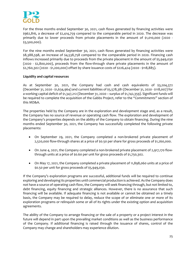

For the three months ended September 30, 2021, cash flows generated by financing activities were \$962,816, a decrease of \$2,414,759 compared to the comparable period in 2020. The decrease was primarily due to lower proceeds from private placements in the amount of \$1,010,000 (2020 -\$3,500,000).

For the nine months ended September 30, 2021, cash flows generated by financing activities were \$8,388,598, an increase of \$4,538,758 compared to the comparable period in 2020. Financing cash inflows increased primarily due to proceeds from the private placement in the amount of \$5,949,030 (2020 ‐ \$2,800,000), proceeds from the flow‐through share private placements in the amount of \$2,760,302 (2020 ‐ \$1,200,000) offset by share issuance costs of \$226,424 (2020 ‐ \$118,885).

## **Liquidity and capital resources**

As at September 30, 2021, the Company had cash and cash equivalents of \$3,204,372 (December 31, 2020 ‐ \$1,634,964) and current liabilities of \$5,578,381 (December 31, 2020 ‐ \$118,007) for a working capital deficit of \$1,347,212 (December 31, 2020 – surplus of \$1,742,359). Significant funds will be required to complete the acquisition of the Gabbs Project, refer to the "*Commitments*" section of this MD&A.

The properties held by the Company are in the exploration and development stage and, as a result, the Company has no source of revenue or operating cash flow. The exploration and development of the Company's properties depends on the ability of the Company to obtain financing. During the nine months ended September 30, 2021, the Company has successfully completed the following private placements:

- On September 29, 2021, the Company completed a non‐brokered private placement of 2,520,000 flow‐through shares at a price of \$0.50 per share for gross proceeds of \$1,260,000.
- On June 4, 2021, the Company completed a non-brokered private placement of 2,917,170 flowthrough units at a price of \$0.60 per unit for gross proceeds of \$1,750,302.
- On May 17, 2021, the Company completed a private placement of 11,898,060 units at a price of \$0.50 per unit for gross proceeds of \$5,949,030.

If the Company's exploration programs are successful, additional funds will be required to continue exploring and developing its properties until commercial production is achieved. As the Company does not have a source of operating cash flow, the Company will seek financing through, but not limited to, debt financing, equity financing and strategic alliances. However, there is no assurance that such financing will be available. If adequate financing is not available or cannot be obtained on a timely basis, the Company may be required to delay, reduce the scope of or eliminate one or more of its exploration programs or relinquish some or all of its rights under the existing option and acquisition agreements.

The ability of the Company to arrange financing or the sale of a property or a project interest in the future will depend in part upon the prevailing market conditions as well as the business performance of the Company. If additional financing is raised through the issuance of shares, control of the Company may change and shareholders may experience dilution.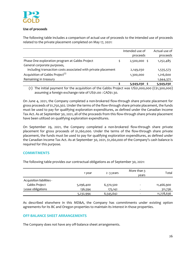

## **Use of proceeds**

The following table includes a comparison of actual use of proceeds to the intended use of proceeds related to the private placement completed on May 17, 2021:

|                                                               | Intended use of | Actual use of |
|---------------------------------------------------------------|-----------------|---------------|
|                                                               | proceeds        | proceeds      |
| Phase One exploration program at Gabbs Project                | $2,500,000$ \$  | 1,252,485     |
| General corporate purposes,                                   |                 |               |
| including transaction costs associated with private placement | 2,149,030       | 1,535,573     |
| Acquisition of Gabbs Project <sup>(1)</sup>                   | 1,300,000       | 1,216,600     |
| Remaining in treasury                                         |                 | 1,944,372     |
|                                                               | 5,949,030       | 5,949,030     |

(1) The initial payment for the acquisition of the Gabbs Project was US\$1,000,000 (C\$1,300,000) assuming a foreign exchange rate of US\$1.00 : CAD\$1.30.

On June 4, 2021, the Company completed a non‐brokered flow‐through share private placement for gross proceeds of \$1,750,302. Under the terms of the flow-through share private placement, the funds must be used to pay for qualifying exploration expenditures, as defined under the Canadian Income Tax Act. As at September 30, 2021, all of the proceeds from this flow-through share private placement have been utilized on qualifying exploration expenditures.

On September 29, 2021, the Company completed a non-brokered flow-through share private placement for gross proceeds of \$1,260,000. Under the terms of the flow‐through share private placement, the funds must be used to pay for qualifying exploration expenditures, as defined under the Canadian Income Tax Act. As at September 30, 2021, \$1,260,000 of the Company's cash balance is required for this purpose.

## **COMMITMENTS**

|                           | 1 year    | 2-3 years | More than 3<br>vears | Total      |
|---------------------------|-----------|-----------|----------------------|------------|
| Acquisition liabilities - |           |           |                      |            |
| Gabbs Project             | 5,096,400 | 6,370,500 | ۰                    | 11,466,900 |
| Lease obligations         | 136,594   | 175,142   | -                    | 311,736    |
|                           | 5,232,994 | 6,545,642 |                      | 11,778,636 |

The following table provides our contractual obligations as of September 30, 2021:

As described elsewhere in this MD&A, the Company has commitments under existing option agreements for its BC and Oregon properties to maintain its interest in those properties.

#### **OFF‐BALANCE SHEET ARRANGEMENTS**

The Company does not have any off‐balance sheet arrangements.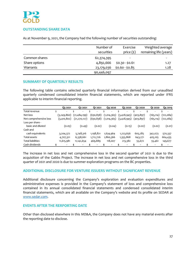

## **OUTSTANDING SHARE DATA**

As at November 9, 2021, the Company had the following number of securities outstanding:

|               | Number of  | Exercise                 | Weighted average       |
|---------------|------------|--------------------------|------------------------|
|               | securities | price $(\xi)$            | remaining life (years) |
| Common shares | 62,374,395 | $\overline{\phantom{0}}$ |                        |
| Share options | 4,892,666  | $$0.30 - $0.61$          | 1.27                   |
| Warrants      | 23,179,036 | $$0.60 - $0.85$          | 1.28                   |
|               | 90,446,097 |                          |                        |

## **SUMMARY OF QUARTERLY RESULTS**

The following table contains selected quarterly financial information derived from our unaudited quarterly condensed consolidated interim financial statements, which are reported under IFRS applicable to interim financial reporting.

|                          | Q3 2021       | 02 2021        | O <sub>1</sub> 2021 |     | Q4 2020     |   | Q3 2020                  |   | 02 2020                  |   | O <sub>1</sub> 2020      | Q4 2019   |
|--------------------------|---------------|----------------|---------------------|-----|-------------|---|--------------------------|---|--------------------------|---|--------------------------|-----------|
| Total revenue            | \$<br>۰       | \$<br>۰        | \$<br>٠.            | \$. | ٠           | Ś | $\overline{\phantom{a}}$ | ¢ | ٠                        | Ś | ۰                        | \$<br>٠   |
| Net loss                 | (3,249,860)   | (21, 484, 199) | (630,838)           |     | (1,014,365) |   | (3,428,945)              |   | (403,897)                |   | (165,114)                | (122,084) |
| Net comprehensive loss   | (3, 410, 802) | (21,270,127)   | (630,838)           |     | (1,014,365) |   | (3,428,945)              |   | (403, 897)               |   | (165, 114)               | (122,084) |
| Loss per share -         |               |                |                     |     |             |   |                          |   |                          |   |                          |           |
| basic and diluted        | (0.05)        | (0.49)         | (0.02)              |     | (0.04)      |   | (0.15)                   |   | (0.02)                   |   | (0.02)                   | (0.01)    |
| Cash and                 |               |                |                     |     |             |   |                          |   |                          |   |                          |           |
| cash equivalents         | 3,204,372     | 5,748,316      | 1,198,821           |     | 1,634,964   |   | 1,223,656                |   | 605,285                  |   | 342,073                  | 570,337   |
| Total assets             | 4,707,321     | 6,338,661      | 1,712,726           |     | 1,860,366   |   | 1,355,868                |   | 643,271                  |   | 405,105                  | 664,435   |
| <b>Total liabilities</b> | 11,615,981    | 11, 142, 654   | 469,889             |     | 118,007     |   | 213,382                  |   | 55,672                   |   | 55,461                   | 149,677   |
| Cash dividends           |               |                |                     |     |             |   |                          |   | $\overline{\phantom{a}}$ |   | $\overline{\phantom{a}}$ |           |

The increase in net loss and net comprehensive loss in the second quarter of 2021 is due to the acquisition of the Gabbs Project. The increase in net loss and net comprehensive loss in the third quarter of 2021 and 2020 is due to summer exploration programs on the BC properties.

## **ADDITIONAL DISCLOSURE FOR VENTURE ISSUERS WITHOUT SIGNIFICANT REVENUE**

Additional disclosure concerning the Company's exploration and evaluation expenditures and administrative expenses is provided in the Company's statement of loss and comprehensive loss contained in its annual consolidated financial statements and condensed consolidated interim financial statements, which are all available on the Company's website and its profile on SEDAR at www.sedar.com.

## **EVENTS AFTER THE RERPORTING DATE**

Other than disclosed elsewhere in this MD&A, the Company does not have any material events after the reporting date to disclose.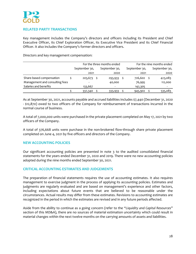

# **RELATED PARTY TRANSACTIONS**

Key management includes the Company's directors and officers including its President and Chief Executive Officer, its Chief Exploration Officer, its Executive Vice President and its Chief Financial Officer. It also includes the Company's former directors and officers.

Directors and key management compensation:

|                                |               | For the three months ended | For the nine months ended |  |               |  |  |  |
|--------------------------------|---------------|----------------------------|---------------------------|--|---------------|--|--|--|
|                                | September 30, | September 30,              | September 30,             |  | September 30, |  |  |  |
|                                | 2021          | 2020                       | 2021                      |  | 2020          |  |  |  |
| Share-based compensation       | $203,673$ \$  | 293,933                    | 726,602                   |  | 423,083       |  |  |  |
| Management and consulting fees |               | 40,000                     | 76,995                    |  | 112,000       |  |  |  |
| Salaries and benefits          | 133,667       |                            | 142,305                   |  |               |  |  |  |
|                                | 337,340       | 333,933                    | 945,902                   |  | 535,083       |  |  |  |

As at September 30, 2021, accounts payable and accrued liabilities includes \$7,440 (December 31, 2020 ‐ \$12,870) owed to two officers of the Company for reimbursement of transactions incurred in the normal course of business.

A total of 7,000,000 units were purchased in the private placement completed on May 17, 2021 by two officers of the Company.

A total of 376,668 units were purchase in the non-brokered flow-through share private placement completed on June 4, 2021 by five officers and directors of the Company.

## **NEW ACCOUNTING POLICIES**

Our significant accounting policies are presented in note 3 to the audited consolidated financial statements for the years ended December 31, 2020 and 2019. There were no new accounting policies adopted during the nine months ended September 30, 2021.

#### **CRITICAL ACCOUNTING ESTIMATES AND JUDGEMENTS**

The preparation of financial statements requires the use of accounting estimates. It also requires management to exercise judgment in the process of applying its accounting policies. Estimates and judgments are regularly evaluated and are based on management's experience and other factors, including expectations about future events that are believed to be reasonable under the circumstances. Actual results may differ from these estimates. Revisions to accounting estimates are recognized in the period in which the estimates are revised and in any future periods affected.

Aside from the ability to continue as a going concern (refer to the "*Liquidity and Capital Resources*" section of this MD&A), there are no sources of material estimation uncertainty which could result in material changes within the next twelve months on the carrying amounts of assets and liabilities.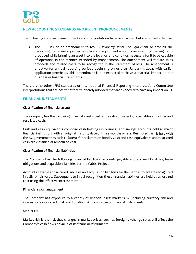

# **NEW ACCOUNTING STANDARDS AND RECENT PRONOUNCEMENTS**

The following standards, amendments and interpretations have been issued but are not yet effective:

 The IASB issued an amendment to IAS 16, *Property, Plant and Equipment* to prohibit the deducting from mineral properties, plant and equipment amounts received from selling items produced while bringing an asset into the location and condition necessary for it to be capable of operating in the manner intended by management. The amendment will require sales proceeds and related costs to be recognized in the statement of loss. The amendment is effective for annual reporting periods beginning on or after January 1, 2022, with earlier application permitted. This amendment is not expected to have a material impact on our business or financial statements.

There are no other IFRS standards or International Financial Reporting Interpretations Committee interpretations that are not yet effective or early adopted that are expected to have any impact on us.

## **FINANCIAL INSTRUMENTS**

## **Classification of financial assets**

The Company has the following financial assets: cash and cash equivalents, receivables and other and restricted cash.

Cash and cash equivalents comprise cash holdings in business and savings accounts held at major financial institutions with an original maturity date of three months or less. Restricted cash is held with the BC government as cash collateral for reclamation bonds. Cash and cash equivalents and restricted cash are classified at amortized cost.

#### **Classification of financial liabilities**

The Company has the following financial liabilities: accounts payable and accrued liabilities, lease obligations and acquisition liabilities for the Gabbs Project.

Accounts payable and accrued liabilities and acquisition liabilities for the Gabbs Project are recognized initially at fair value. Subsequent to initial recognition these financial liabilities are held at amortized cost using the effective interest method.

#### **Financial risk management**

The Company has exposure to a variety of financial risks: market risk (including currency risk and interest rate risk), credit risk and liquidity risk from its use of financial instruments.

#### *Market risk*

Market risk is the risk that changes in market prices, such as foreign exchange rates will affect the Company's cash flows or value of its financial instruments.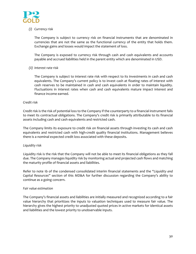

# *(i) Currency risk*

The Company is subject to currency risk on financial instruments that are denominated in currencies that are not the same as the functional currency of the entity that holds them. Exchange gains and losses would impact the statement of loss.

The Company is exposed to currency risk through cash and cash equivalents and accounts payable and accrued liabilities held in the parent entity which are denominated in USD.

## *(ii) Interest rate risk*

The Company is subject to interest rate risk with respect to its investments in cash and cash equivalents. The Company's current policy is to invest cash at floating rates of interest with cash reserves to be maintained in cash and cash equivalents in order to maintain liquidity. Fluctuations in interest rates when cash and cash equivalents mature impact interest and finance income earned.

#### *Credit risk*

Credit risk is the risk of potential loss to the Company if the counterparty to a financial instrument fails to meet its contractual obligations. The Company's credit risk is primarily attributable to its financial assets including cash and cash equivalents and restricted cash.

The Company limits its exposure to credit risk on financial assets through investing its cash and cash equivalents and restricted cash with high-credit quality financial institutions. Management believes there is a nominal expected credit loss associated with these deposits.

#### *Liquidity risk*

Liquidity risk is the risk that the Company will not be able to meet its financial obligations as they fall due. The Company manages liquidity risk by monitoring actual and projected cash flows and matching the maturity profile of financial assets and liabilities.

Refer to note 1b of the condensed consolidated interim financial statements and the "*Liquidity and Capital Resources*" section of this MD&A for further discussion regarding the Company's ability to continue as a going concern.

#### *Fair value estimation*

The Company's financial assets and liabilities are initially measured and recognized according to a fair value hierarchy that prioritizes the inputs to valuation techniques used to measure fair value. The hierarchy gives the highest priority to unadjusted quoted prices in active markets for identical assets and liabilities and the lowest priority to unobservable inputs.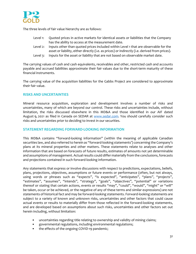

The three levels of fair value hierarchy are as follows:

- Level 1: Quoted prices in active markets for identical assets or liabilities that the Company has the ability to access at the measurement date.
- Level 2: Inputs other than quoted prices included within Level 1 that are observable for the asset or liability, either directly (i.e. as prices) or indirectly (i.e. derived from prices).
- Level 3: Inputs for the asset or liability that are not based on observable market date.

The carrying values of cash and cash equivalents, receivables and other, restricted cash and accounts payable and accrued liabilities approximate their fair values due to the short-term maturity of these financial instruments.

The carrying value of the acquisition liabilities for the Gabbs Project are considered to approximate their fair value.

# **RISKS AND UNCERTAINTIES**

Mineral resource acquisition, exploration and development involves a number of risks and uncertainties, many of which are beyond our control. These risks and uncertainties include, without limitation, the risks discussed elsewhere in this MD&A and those identified in our AIF dated August 9, 2021 as filed in Canada on SEDAR at www.sedar.com. You should carefully consider such risks and uncertainties prior to deciding to invest in our securities.

## **STATEMENT REGARDING FORWARD‐LOOKING INFORMATION**

This MD&A contains "forward‐looking information" (within the meaning of applicable Canadian securities law, and also referred to herein as "forward‐looking statements') concerning the Company's plans at its mineral properties and other matters. These statements relate to analyses and other information that are based on forecasts of future results, estimates of amounts not yet determinable and assumptions of management. Actual results could differ materially from the conclusions, forecasts and projections contained in such forward‐looking information.

Any statements that express or involve discussions with respect to predictions, expectations, beliefs, plans, projections, objectives, assumptions or future events or performance (often, but not always, using words or phrases such as "expects", "is expected", "anticipates", "plans", "projects", "estimates", "assumes", "intends", "strategy", "goals", "objectives", "potential" or variations thereof or stating that certain actions, events or results "may", "could", "would", "might" or "will" be taken, occur or be achieved, or the negative of any of these terms and similar expressions) are not statements of historical fact and may be forward‐looking statements. Forward‐looking statements are subject to a variety of known and unknown risks, uncertainties and other factors that could cause actual events or results to materially differ from those reflected in the forward-looking statements, and are developed based on assumptions about such risks, uncertainties and other factors set out herein including, without limitation:

- uncertainties regarding title relating to ownership and validity of mining claims;
- governmental regulations, including environmental regulations;
- the effects of the ongoing COVID-19 pandemic;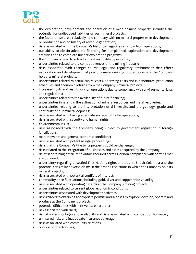

- the exploration, development and operation of a mine or mine property, including the potential for undisclosed liabilities on our mineral projects;
- the fact that we are a relatively new company with no mineral properties in development or production and no history of revenue generation;
- risks associated with the Company's historical negative cash flow from operations;
- our ability to obtain adequate financing for our planned exploration and development activities and to complete further exploration programs;
- the Company's need to attract and retain qualified personnel;
- uncertainties related to the competitiveness of the mining industry;
- risks associated with changes to the legal and regulatory environment that effect exploration and development of precious metals mining properties where the Company holds its mineral projects;
- uncertainties related to actual capital costs, operating costs and expenditures, production schedules and economic returns from the Company's mineral projects;
- increased costs and restrictions on operations due to compliance with environmental laws and regulations;
- uncertainties related to the availability of future financing;
- uncertainties inherent in the estimation of mineral resources and metal recoveries;
- uncertainties relating to the interpretation of drill results and the geology, grade and continuity of our mineral deposits;
- risks associated with having adequate surface rights for operations;
- risks associated with security and human rights;
- environmental risks;
- risks associated with the Company being subject to government regulation in foreign jurisdictions;
- market events and general economic conditions;
- risks associated with potential legal proceedings;
- risks that the Company's title to its property could be challenged;
- risks related to the integration of businesses and assets acquired by the Company;
- delay in obtaining orfailure to obtain required permits, or non‐compliance with permits that are obtained;
- uncertainty regarding unsettled First Nations rights and title in British Columbia and the potential for similar adverse claims in the other jurisdictions in which the Company hold its mineral projects;
- risks associated with potential conflicts of interest;
- commodity price fluctuations, including gold, silver and copper price volatility;
- risks associated with operating hazards at the Company's mining projects;
- uncertainties related to current global economic conditions;
- uncertainties associated with development activities;
- risks related to obtaining appropriate permits and licenses to explore, develop, operate and produce at the Company's projects;
- potential difficulties with joint venture partners;
- risk associated with theft;
- risk of water shortages and availability and risks associated with competition for water;
- uninsured risks and inadequate insurance coverage;
- risks associated with community relations;
- outside contractor risks;